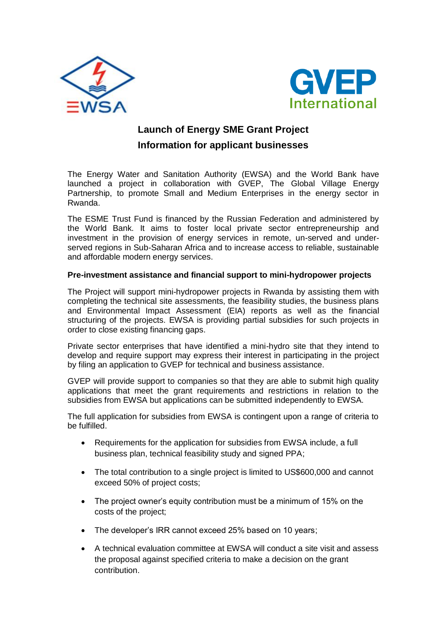



## **Launch of Energy SME Grant Project Information for applicant businesses**

The Energy Water and Sanitation Authority (EWSA) and the World Bank have launched a project in collaboration with GVEP, The Global Village Energy Partnership, to promote Small and Medium Enterprises in the energy sector in Rwanda.

The ESME Trust Fund is financed by the Russian Federation and administered by the World Bank*.* It aims to foster local private sector entrepreneurship and investment in the provision of energy services in remote, un-served and underserved regions in Sub-Saharan Africa and to increase access to reliable, sustainable and affordable modern energy services.

## **Pre-investment assistance and financial support to mini-hydropower projects**

The Project will support mini-hydropower projects in Rwanda by assisting them with completing the technical site assessments, the feasibility studies, the business plans and Environmental Impact Assessment (EIA) reports as well as the financial structuring of the projects. EWSA is providing partial subsidies for such projects in order to close existing financing gaps.

Private sector enterprises that have identified a mini-hydro site that they intend to develop and require support may express their interest in participating in the project by filing an application to GVEP for technical and business assistance.

GVEP will provide support to companies so that they are able to submit high quality applications that meet the grant requirements and restrictions in relation to the subsidies from EWSA but applications can be submitted independently to EWSA.

The full application for subsidies from EWSA is contingent upon a range of criteria to be fulfilled.

- Requirements for the application for subsidies from EWSA include, a full business plan, technical feasibility study and signed PPA;
- The total contribution to a single project is limited to US\$600,000 and cannot exceed 50% of project costs;
- The project owner's equity contribution must be a minimum of 15% on the costs of the project;
- The developer's IRR cannot exceed 25% based on 10 years;
- A technical evaluation committee at EWSA will conduct a site visit and assess the proposal against specified criteria to make a decision on the grant contribution.